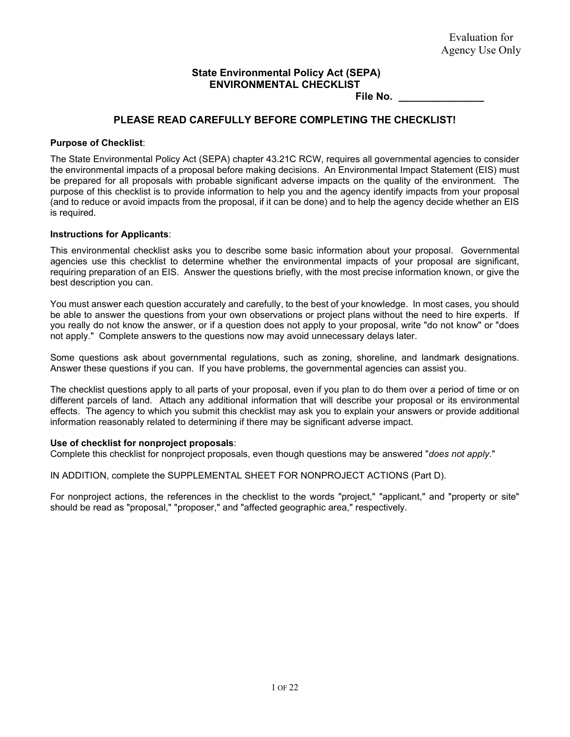## **State Environmental Policy Act (SEPA) ENVIRONMENTAL CHECKLIST**

**File No. \_\_\_\_\_\_\_\_\_\_\_\_\_\_\_**

## **PLEASE READ CAREFULLY BEFORE COMPLETING THE CHECKLIST!**

#### **Purpose of Checklist**:

The State Environmental Policy Act (SEPA) chapter 43.21C RCW, requires all governmental agencies to consider the environmental impacts of a proposal before making decisions. An Environmental Impact Statement (EIS) must be prepared for all proposals with probable significant adverse impacts on the quality of the environment. The purpose of this checklist is to provide information to help you and the agency identify impacts from your proposal (and to reduce or avoid impacts from the proposal, if it can be done) and to help the agency decide whether an EIS is required.

#### **Instructions for Applicants**:

This environmental checklist asks you to describe some basic information about your proposal. Governmental agencies use this checklist to determine whether the environmental impacts of your proposal are significant, requiring preparation of an EIS. Answer the questions briefly, with the most precise information known, or give the best description you can.

You must answer each question accurately and carefully, to the best of your knowledge. In most cases, you should be able to answer the questions from your own observations or project plans without the need to hire experts. If you really do not know the answer, or if a question does not apply to your proposal, write "do not know" or "does not apply." Complete answers to the questions now may avoid unnecessary delays later.

Some questions ask about governmental regulations, such as zoning, shoreline, and landmark designations. Answer these questions if you can. If you have problems, the governmental agencies can assist you.

The checklist questions apply to all parts of your proposal, even if you plan to do them over a period of time or on different parcels of land. Attach any additional information that will describe your proposal or its environmental effects. The agency to which you submit this checklist may ask you to explain your answers or provide additional information reasonably related to determining if there may be significant adverse impact.

#### **Use of checklist for nonproject proposals**:

Complete this checklist for nonproject proposals, even though questions may be answered "*does not apply*."

IN ADDITION, complete the SUPPLEMENTAL SHEET FOR NONPROJECT ACTIONS (Part D).

For nonproject actions, the references in the checklist to the words "project," "applicant," and "property or site" should be read as "proposal," "proposer," and "affected geographic area," respectively.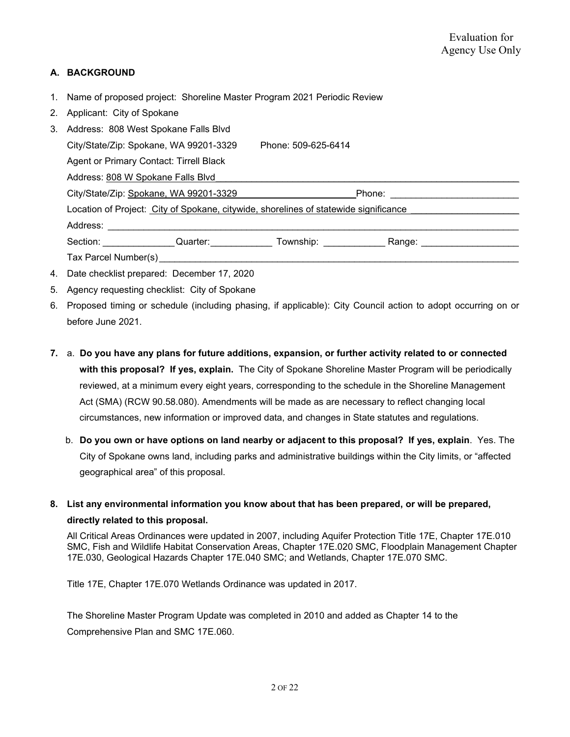## **A. BACKGROUND**

- 1. Name of proposed project: Shoreline Master Program 2021 Periodic Review
- 2. Applicant: City of Spokane
- 3. Address: 808 West Spokane Falls Blvd City/State/Zip: Spokane, WA 99201-3329 Phone: 509-625-6414 Agent or Primary Contact: Tirrell Black Address: 808 W Spokane Falls Blvd City/State/Zip: Spokane, WA 99201-3329 **Example 20 Phone:**  $\blacksquare$  Phone:  $\blacksquare$ Location of Project: City of Spokane, citywide, shorelines of statewide significance Address: \_\_\_\_\_\_\_\_\_\_\_\_\_\_\_\_\_\_\_\_\_\_\_\_\_\_\_\_\_\_\_\_\_\_\_\_\_\_\_\_\_\_\_\_\_\_\_\_\_\_\_\_\_\_\_\_\_\_\_\_\_\_\_\_\_\_\_\_\_\_\_\_\_\_\_\_\_\_\_\_ Section: \_\_\_\_\_\_\_\_\_\_\_\_\_\_\_\_Quarter: \_\_\_\_\_\_\_\_\_\_\_\_\_\_\_ Township: \_\_\_\_\_\_\_\_\_\_\_\_\_\_\_\_\_\_\_\_Range: \_\_\_\_\_\_\_\_\_\_\_\_\_\_\_\_\_\_\_\_\_\_\_ Tax Parcel Number(s)
- 4. Date checklist prepared: December 17, 2020
- 5. Agency requesting checklist: City of Spokane
- 6. Proposed timing or schedule (including phasing, if applicable): City Council action to adopt occurring on or before June 2021.
- **7.** a. **Do you have any plans for future additions, expansion, or further activity related to or connected with this proposal? If yes, explain.** The City of Spokane Shoreline Master Program will be periodically reviewed, at a minimum every eight years, corresponding to the schedule in the Shoreline Management Act (SMA) (RCW 90.58.080). Amendments will be made as are necessary to reflect changing local circumstances, new information or improved data, and changes in State statutes and regulations.
	- b. **Do you own or have options on land nearby or adjacent to this proposal? If yes, explain**. Yes. The City of Spokane owns land, including parks and administrative buildings within the City limits, or "affected geographical area" of this proposal.

# **8. List any environmental information you know about that has been prepared, or will be prepared, directly related to this proposal.**

All Critical Areas Ordinances were updated in 2007, including Aquifer Protection Title 17E, Chapter 17E.010 SMC, Fish and Wildlife Habitat Conservation Areas, Chapter 17E.020 SMC, Floodplain Management Chapter 17E.030, Geological Hazards Chapter 17E.040 SMC; and Wetlands, Chapter 17E.070 SMC.

Title 17E, Chapter 17E.070 Wetlands Ordinance was updated in 2017.

The Shoreline Master Program Update was completed in 2010 and added as Chapter 14 to the Comprehensive Plan and SMC 17E.060.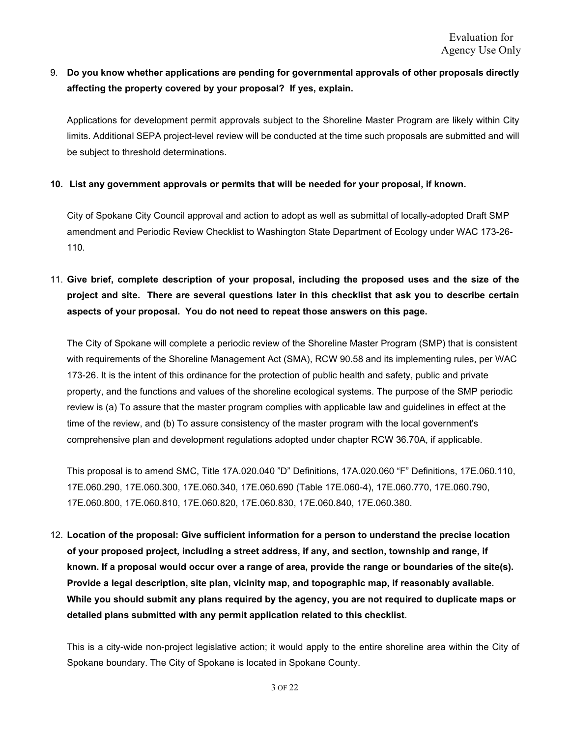# 9. **Do you know whether applications are pending for governmental approvals of other proposals directly affecting the property covered by your proposal? If yes, explain.**

Applications for development permit approvals subject to the Shoreline Master Program are likely within City limits. Additional SEPA project-level review will be conducted at the time such proposals are submitted and will be subject to threshold determinations.

#### **10. List any government approvals or permits that will be needed for your proposal, if known.**

City of Spokane City Council approval and action to adopt as well as submittal of locally-adopted Draft SMP amendment and Periodic Review Checklist to Washington State Department of Ecology under WAC 173-26- 110.

# 11. **Give brief, complete description of your proposal, including the proposed uses and the size of the project and site. There are several questions later in this checklist that ask you to describe certain aspects of your proposal. You do not need to repeat those answers on this page.**

The City of Spokane will complete a periodic review of the Shoreline Master Program (SMP) that is consistent with requirements of the Shoreline Management Act (SMA), RCW 90.58 and its implementing rules, per WAC 173-26. It is the intent of this ordinance for the protection of public health and safety, public and private property, and the functions and values of the shoreline ecological systems. The purpose of the SMP periodic review is (a) To assure that the master program complies with applicable law and guidelines in effect at the time of the review, and (b) To assure consistency of the master program with the local government's comprehensive plan and development regulations adopted under chapter RCW 36.70A, if applicable.

This proposal is to amend SMC, Title 17A.020.040 "D" Definitions, 17A.020.060 "F" Definitions, 17E.060.110, 17E.060.290, 17E.060.300, 17E.060.340, 17E.060.690 (Table 17E.060-4), 17E.060.770, 17E.060.790, 17E.060.800, 17E.060.810, 17E.060.820, 17E.060.830, 17E.060.840, 17E.060.380.

12. **Location of the proposal: Give sufficient information for a person to understand the precise location of your proposed project, including a street address, if any, and section, township and range, if known. If a proposal would occur over a range of area, provide the range or boundaries of the site(s). Provide a legal description, site plan, vicinity map, and topographic map, if reasonably available. While you should submit any plans required by the agency, you are not required to duplicate maps or detailed plans submitted with any permit application related to this checklist**.

This is a city-wide non-project legislative action; it would apply to the entire shoreline area within the City of Spokane boundary. The City of Spokane is located in Spokane County.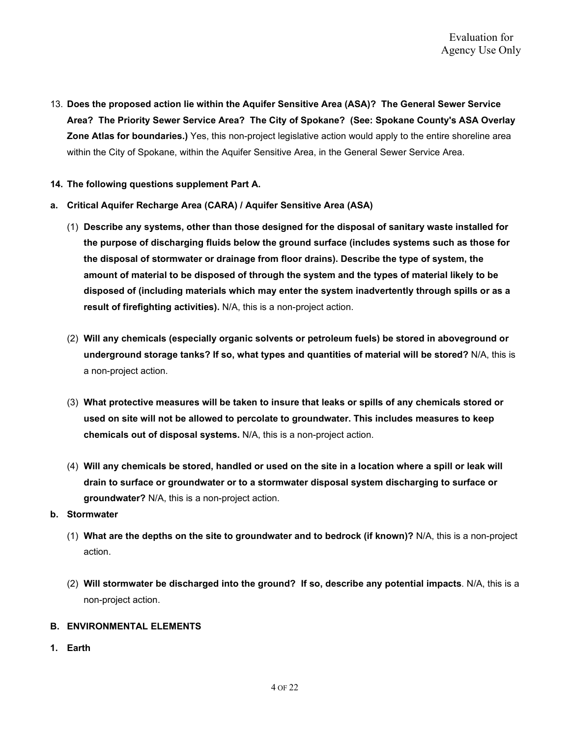- 13. **Does the proposed action lie within the Aquifer Sensitive Area (ASA)? The General Sewer Service Area? The Priority Sewer Service Area? The City of Spokane? (See: Spokane County's ASA Overlay Zone Atlas for boundaries.)** Yes, this non-project legislative action would apply to the entire shoreline area within the City of Spokane, within the Aquifer Sensitive Area, in the General Sewer Service Area.
- **14. The following questions supplement Part A.**
- **a. Critical Aquifer Recharge Area (CARA) / Aquifer Sensitive Area (ASA)** 
	- (1) **Describe any systems, other than those designed for the disposal of sanitary waste installed for the purpose of discharging fluids below the ground surface (includes systems such as those for the disposal of stormwater or drainage from floor drains). Describe the type of system, the amount of material to be disposed of through the system and the types of material likely to be disposed of (including materials which may enter the system inadvertently through spills or as a result of firefighting activities).** N/A, this is a non-project action.
	- (2) **Will any chemicals (especially organic solvents or petroleum fuels) be stored in aboveground or underground storage tanks? If so, what types and quantities of material will be stored?** N/A, this is a non-project action.
	- (3) **What protective measures will be taken to insure that leaks or spills of any chemicals stored or used on site will not be allowed to percolate to groundwater. This includes measures to keep chemicals out of disposal systems.** N/A, this is a non-project action.
	- (4) **Will any chemicals be stored, handled or used on the site in a location where a spill or leak will drain to surface or groundwater or to a stormwater disposal system discharging to surface or groundwater?** N/A, this is a non-project action.

#### **b. Stormwater**

- (1) **What are the depths on the site to groundwater and to bedrock (if known)?** N/A, this is a non-project action.
- (2) **Will stormwater be discharged into the ground? If so, describe any potential impacts**. N/A, this is a non-project action.

#### **B. ENVIRONMENTAL ELEMENTS**

**1. Earth**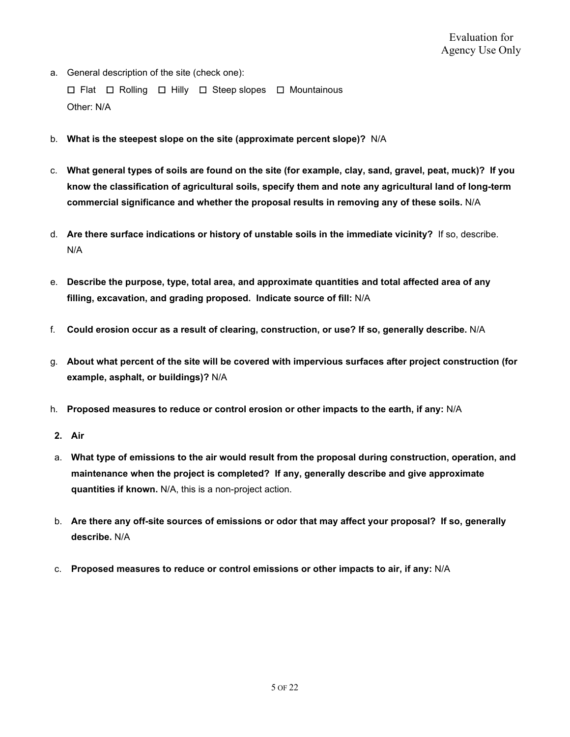a. General description of the site (check one):

☐ Flat ☐ Rolling ☐ Hilly ☐ Steep slopes ☐ Mountainous Other: N/A

- b. **What is the steepest slope on the site (approximate percent slope)?** N/A
- c. **What general types of soils are found on the site (for example, clay, sand, gravel, peat, muck)? If you know the classification of agricultural soils, specify them and note any agricultural land of long-term commercial significance and whether the proposal results in removing any of these soils.** N/A
- d. **Are there surface indications or history of unstable soils in the immediate vicinity?** If so, describe. N/A
- e. **Describe the purpose, type, total area, and approximate quantities and total affected area of any filling, excavation, and grading proposed. Indicate source of fill:** N/A
- f. **Could erosion occur as a result of clearing, construction, or use? If so, generally describe.** N/A
- g. **About what percent of the site will be covered with impervious surfaces after project construction (for example, asphalt, or buildings)?** N/A
- h. **Proposed measures to reduce or control erosion or other impacts to the earth, if any:** N/A
- **2. Air**
- a. **What type of emissions to the air would result from the proposal during construction, operation, and maintenance when the project is completed? If any, generally describe and give approximate quantities if known.** N/A, this is a non-project action.
- b. **Are there any off-site sources of emissions or odor that may affect your proposal? If so, generally describe.** N/A
- c. **Proposed measures to reduce or control emissions or other impacts to air, if any:** N/A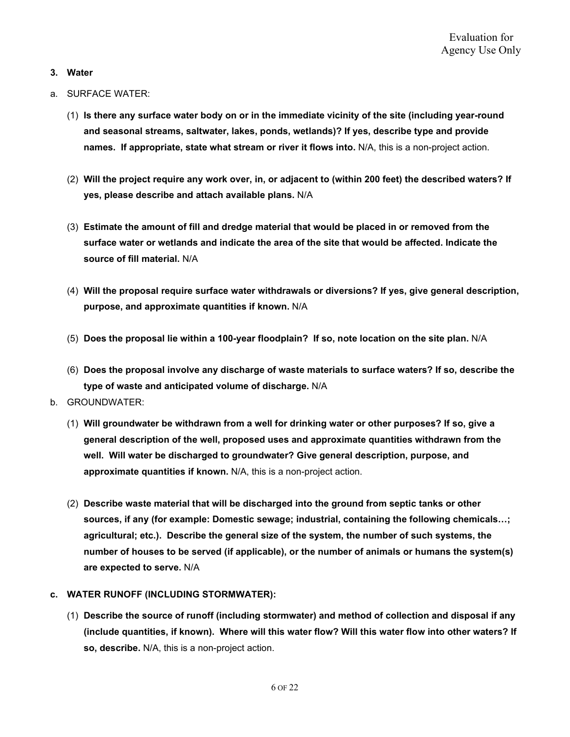#### **3. Water**

- a. SURFACE WATER:
	- (1) **Is there any surface water body on or in the immediate vicinity of the site (including year-round and seasonal streams, saltwater, lakes, ponds, wetlands)? If yes, describe type and provide names. If appropriate, state what stream or river it flows into.** N/A, this is a non-project action.
	- (2) **Will the project require any work over, in, or adjacent to (within 200 feet) the described waters? If yes, please describe and attach available plans.** N/A
	- (3) **Estimate the amount of fill and dredge material that would be placed in or removed from the surface water or wetlands and indicate the area of the site that would be affected. Indicate the source of fill material.** N/A
	- (4) **Will the proposal require surface water withdrawals or diversions? If yes, give general description, purpose, and approximate quantities if known.** N/A
	- (5) **Does the proposal lie within a 100-year floodplain? If so, note location on the site plan.** N/A
	- (6) **Does the proposal involve any discharge of waste materials to surface waters? If so, describe the type of waste and anticipated volume of discharge.** N/A
- b. GROUNDWATER:
	- (1) **Will groundwater be withdrawn from a well for drinking water or other purposes? If so, give a general description of the well, proposed uses and approximate quantities withdrawn from the well. Will water be discharged to groundwater? Give general description, purpose, and approximate quantities if known.** N/A, this is a non-project action.
	- (2) **Describe waste material that will be discharged into the ground from septic tanks or other sources, if any (for example: Domestic sewage; industrial, containing the following chemicals…; agricultural; etc.). Describe the general size of the system, the number of such systems, the number of houses to be served (if applicable), or the number of animals or humans the system(s) are expected to serve.** N/A

#### **c. WATER RUNOFF (INCLUDING STORMWATER):**

(1) **Describe the source of runoff (including stormwater) and method of collection and disposal if any (include quantities, if known). Where will this water flow? Will this water flow into other waters? If so, describe.** N/A, this is a non-project action.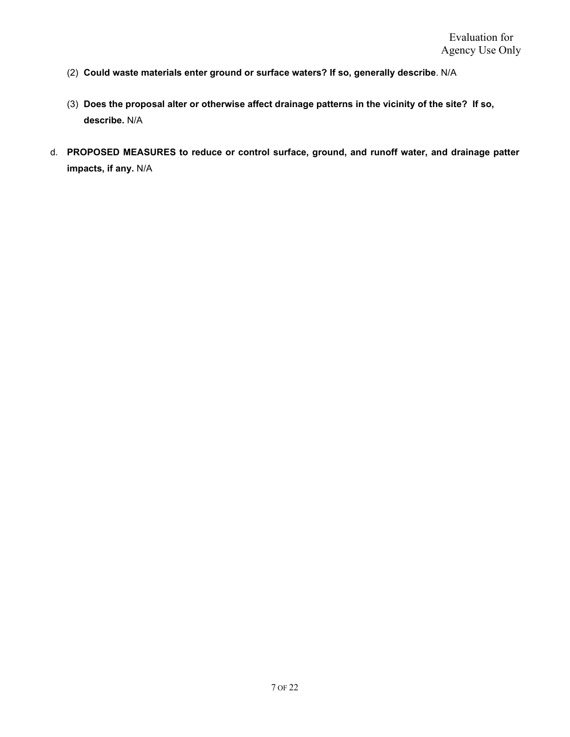- (2) **Could waste materials enter ground or surface waters? If so, generally describe**. N/A
- (3) **Does the proposal alter or otherwise affect drainage patterns in the vicinity of the site? If so, describe.** N/A
- d. **PROPOSED MEASURES to reduce or control surface, ground, and runoff water, and drainage patter impacts, if any.** N/A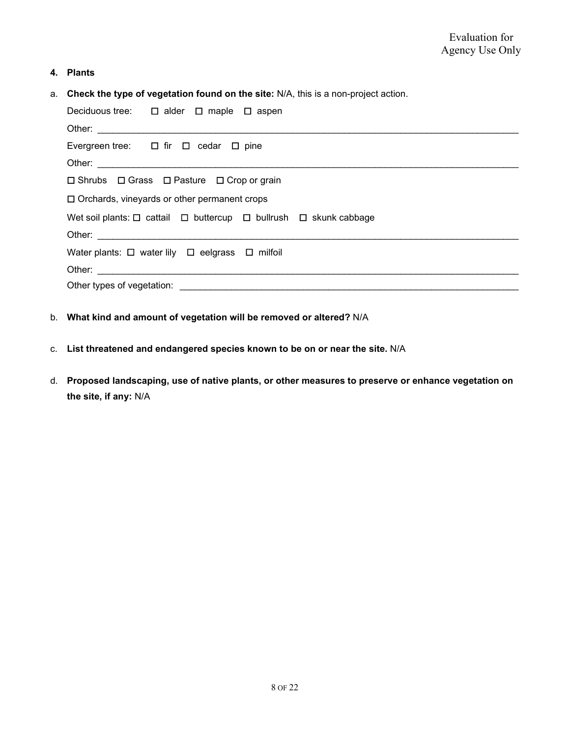### **4. Plants**

a. **Check the type of vegetation found on the site:** N/A, this is a non-project action.

| Deciduous tree: $\Box$ alder $\Box$ maple $\Box$ aspen                                |  |  |  |  |
|---------------------------------------------------------------------------------------|--|--|--|--|
|                                                                                       |  |  |  |  |
| Evergreen tree: $\Box$ fir $\Box$ cedar $\Box$ pine                                   |  |  |  |  |
| Other:                                                                                |  |  |  |  |
| $\Box$ Shrubs $\Box$ Grass $\Box$ Pasture $\Box$ Crop or grain                        |  |  |  |  |
| $\Box$ Orchards, vineyards or other permanent crops                                   |  |  |  |  |
| Wet soil plants: $\Box$ cattail $\Box$ buttercup $\Box$ bullrush $\Box$ skunk cabbage |  |  |  |  |
|                                                                                       |  |  |  |  |
| Water plants: $\Box$ water lily $\Box$ eelgrass $\Box$ milfoil                        |  |  |  |  |
|                                                                                       |  |  |  |  |
|                                                                                       |  |  |  |  |

- b. **What kind and amount of vegetation will be removed or altered?** N/A
- c. **List threatened and endangered species known to be on or near the site.** N/A
- d. **Proposed landscaping, use of native plants, or other measures to preserve or enhance vegetation on the site, if any:** N/A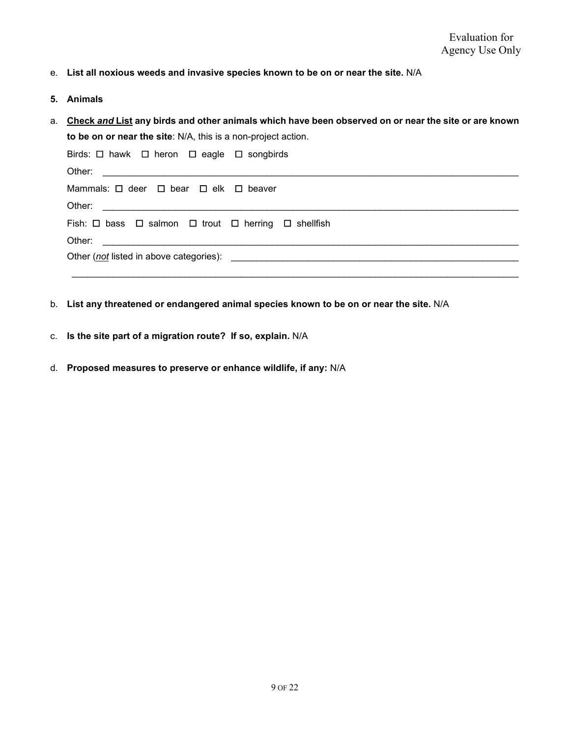- e. **List all noxious weeds and invasive species known to be on or near the site.** N/A
- **5. Animals**
- a. **Check** *and* **List any birds and other animals which have been observed on or near the site or are known to be on or near the site**: N/A, this is a non-project action.

| Birds: $\Box$ hawk $\Box$ heron $\Box$ eagle $\Box$ songbirds                                                                                                                                                                  |  |  |
|--------------------------------------------------------------------------------------------------------------------------------------------------------------------------------------------------------------------------------|--|--|
|                                                                                                                                                                                                                                |  |  |
| Mammals: $\Box$ deer $\Box$ bear $\Box$ elk $\Box$ beaver                                                                                                                                                                      |  |  |
|                                                                                                                                                                                                                                |  |  |
| Fish: $\Box$ bass $\Box$ salmon $\Box$ trout $\Box$ herring $\Box$ shellfish                                                                                                                                                   |  |  |
|                                                                                                                                                                                                                                |  |  |
| Other (not listed in above categories): example and the set of the set of the set of the set of the set of the set of the set of the set of the set of the set of the set of the set of the set of the set of the set of the s |  |  |
|                                                                                                                                                                                                                                |  |  |

- b. **List any threatened or endangered animal species known to be on or near the site.** N/A
- c. **Is the site part of a migration route? If so, explain.** N/A
- d. **Proposed measures to preserve or enhance wildlife, if any:** N/A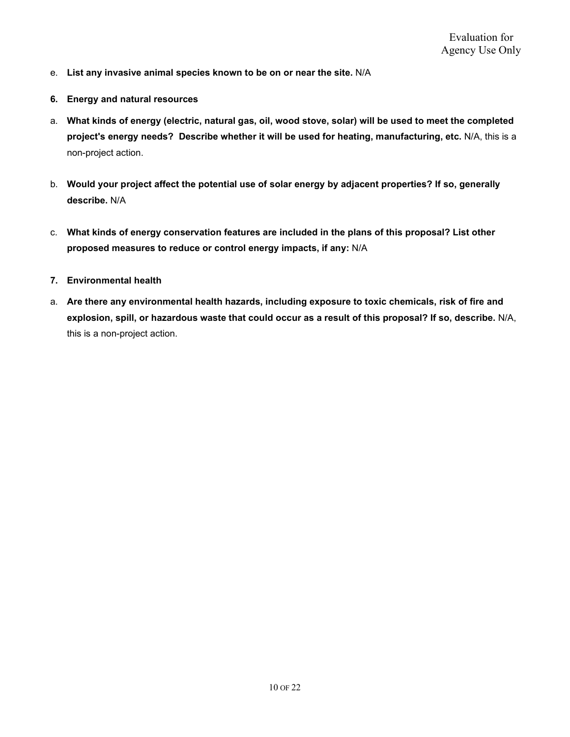- e. **List any invasive animal species known to be on or near the site.** N/A
- **6. Energy and natural resources**
- a. **What kinds of energy (electric, natural gas, oil, wood stove, solar) will be used to meet the completed project's energy needs? Describe whether it will be used for heating, manufacturing, etc.** N/A, this is a non-project action.
- b. **Would your project affect the potential use of solar energy by adjacent properties? If so, generally describe.** N/A
- c. **What kinds of energy conservation features are included in the plans of this proposal? List other proposed measures to reduce or control energy impacts, if any:** N/A
- **7. Environmental health**
- a. **Are there any environmental health hazards, including exposure to toxic chemicals, risk of fire and explosion, spill, or hazardous waste that could occur as a result of this proposal? If so, describe.** N/A, this is a non-project action.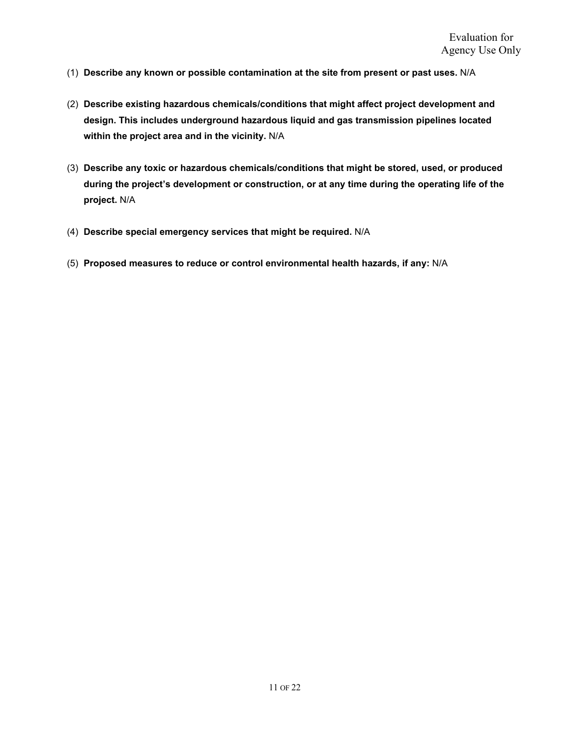- (1) **Describe any known or possible contamination at the site from present or past uses.** N/A
- (2) **Describe existing hazardous chemicals/conditions that might affect project development and design. This includes underground hazardous liquid and gas transmission pipelines located within the project area and in the vicinity.** N/A
- (3) **Describe any toxic or hazardous chemicals/conditions that might be stored, used, or produced during the project's development or construction, or at any time during the operating life of the project.** N/A
- (4) **Describe special emergency services that might be required.** N/A
- (5) **Proposed measures to reduce or control environmental health hazards, if any:** N/A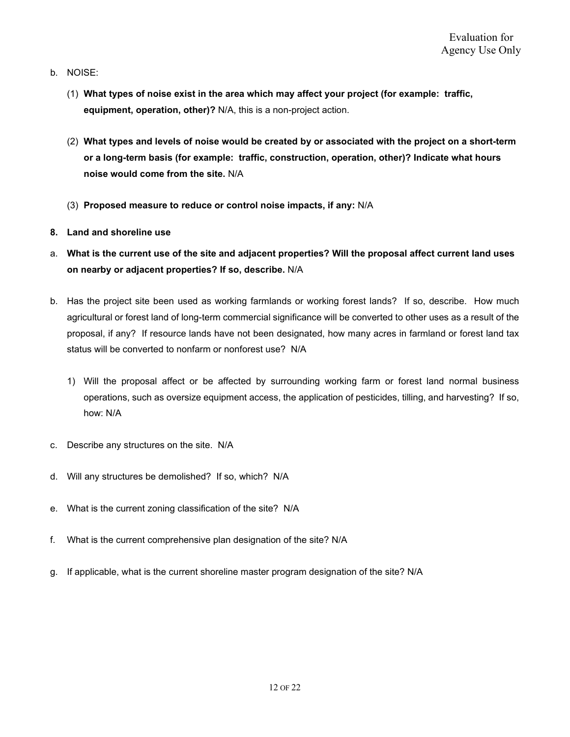- b. NOISE:
	- (1) **What types of noise exist in the area which may affect your project (for example: traffic, equipment, operation, other)?** N/A, this is a non-project action.
	- (2) **What types and levels of noise would be created by or associated with the project on a short-term or a long-term basis (for example: traffic, construction, operation, other)? Indicate what hours noise would come from the site.** N/A
	- (3) **Proposed measure to reduce or control noise impacts, if any:** N/A
- **8. Land and shoreline use**
- a. **What is the current use of the site and adjacent properties? Will the proposal affect current land uses on nearby or adjacent properties? If so, describe.** N/A
- b. Has the project site been used as working farmlands or working forest lands? If so, describe. How much agricultural or forest land of long-term commercial significance will be converted to other uses as a result of the proposal, if any? If resource lands have not been designated, how many acres in farmland or forest land tax status will be converted to nonfarm or nonforest use? N/A
	- 1) Will the proposal affect or be affected by surrounding working farm or forest land normal business operations, such as oversize equipment access, the application of pesticides, tilling, and harvesting? If so, how: N/A
- c. Describe any structures on the site. N/A
- d. Will any structures be demolished? If so, which? N/A
- e. What is the current zoning classification of the site? N/A
- f. What is the current comprehensive plan designation of the site? N/A
- g. If applicable, what is the current shoreline master program designation of the site? N/A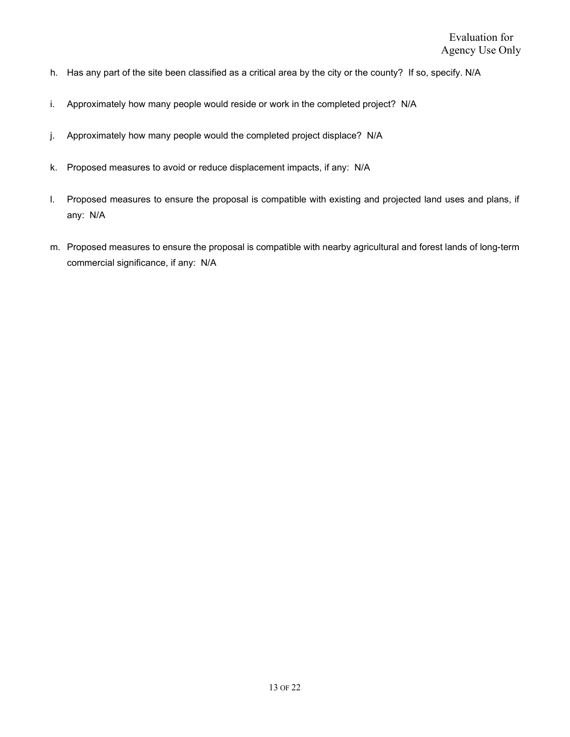- h. Has any part of the site been classified as a critical area by the city or the county? If so, specify. N/A
- i. Approximately how many people would reside or work in the completed project? N/A
- j. Approximately how many people would the completed project displace? N/A
- k. Proposed measures to avoid or reduce displacement impacts, if any: N/A
- l. Proposed measures to ensure the proposal is compatible with existing and projected land uses and plans, if any: N/A
- m. Proposed measures to ensure the proposal is compatible with nearby agricultural and forest lands of long-term commercial significance, if any: N/A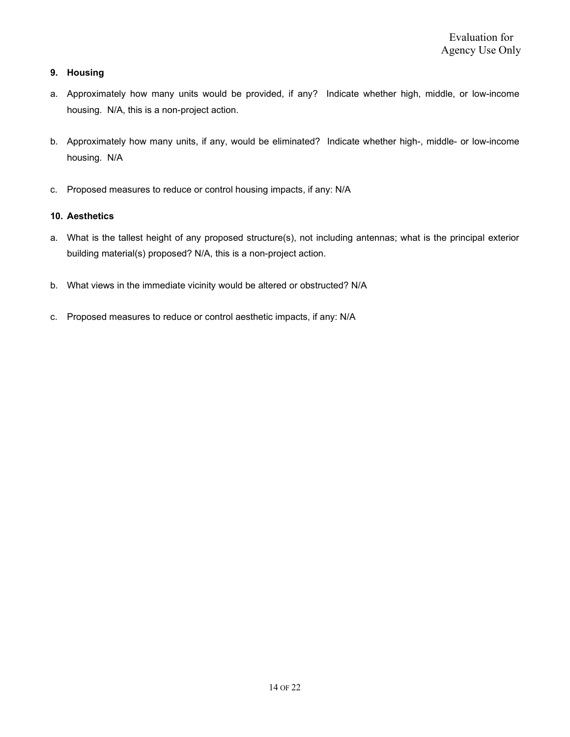## **9. Housing**

- a. Approximately how many units would be provided, if any? Indicate whether high, middle, or low-income housing. N/A, this is a non-project action.
- b. Approximately how many units, if any, would be eliminated? Indicate whether high-, middle- or low-income housing. N/A
- c. Proposed measures to reduce or control housing impacts, if any: N/A

#### **10. Aesthetics**

- a. What is the tallest height of any proposed structure(s), not including antennas; what is the principal exterior building material(s) proposed? N/A, this is a non-project action.
- b. What views in the immediate vicinity would be altered or obstructed? N/A
- c. Proposed measures to reduce or control aesthetic impacts, if any: N/A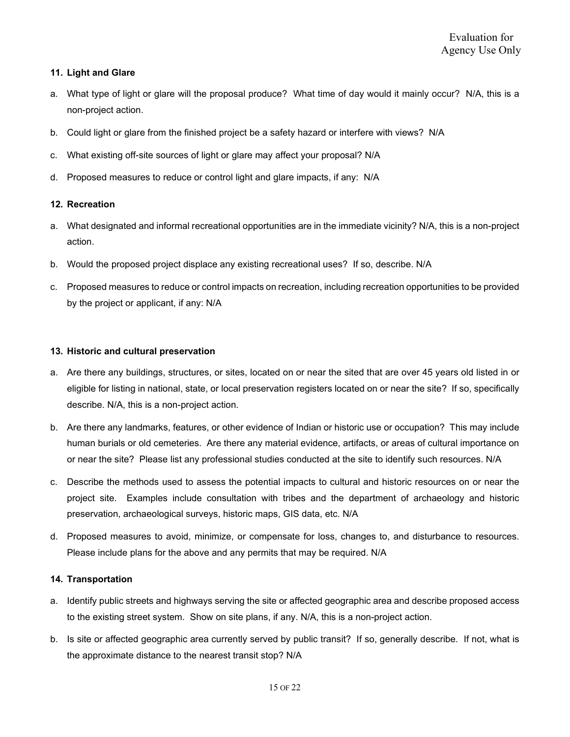### **11. Light and Glare**

- a. What type of light or glare will the proposal produce? What time of day would it mainly occur? N/A, this is a non-project action.
- b. Could light or glare from the finished project be a safety hazard or interfere with views? N/A
- c. What existing off-site sources of light or glare may affect your proposal? N/A
- d. Proposed measures to reduce or control light and glare impacts, if any: N/A

#### **12. Recreation**

- a. What designated and informal recreational opportunities are in the immediate vicinity? N/A, this is a non-project action.
- b. Would the proposed project displace any existing recreational uses? If so, describe. N/A
- c. Proposed measures to reduce or control impacts on recreation, including recreation opportunities to be provided by the project or applicant, if any: N/A

#### **13. Historic and cultural preservation**

- a. Are there any buildings, structures, or sites, located on or near the sited that are over 45 years old listed in or eligible for listing in national, state, or local preservation registers located on or near the site? If so, specifically describe. N/A, this is a non-project action.
- b. Are there any landmarks, features, or other evidence of Indian or historic use or occupation? This may include human burials or old cemeteries. Are there any material evidence, artifacts, or areas of cultural importance on or near the site? Please list any professional studies conducted at the site to identify such resources. N/A
- c. Describe the methods used to assess the potential impacts to cultural and historic resources on or near the project site. Examples include consultation with tribes and the department of archaeology and historic preservation, archaeological surveys, historic maps, GIS data, etc. N/A
- d. Proposed measures to avoid, minimize, or compensate for loss, changes to, and disturbance to resources. Please include plans for the above and any permits that may be required. N/A

#### **14. Transportation**

- a. Identify public streets and highways serving the site or affected geographic area and describe proposed access to the existing street system. Show on site plans, if any. N/A, this is a non-project action.
- b. Is site or affected geographic area currently served by public transit? If so, generally describe. If not, what is the approximate distance to the nearest transit stop? N/A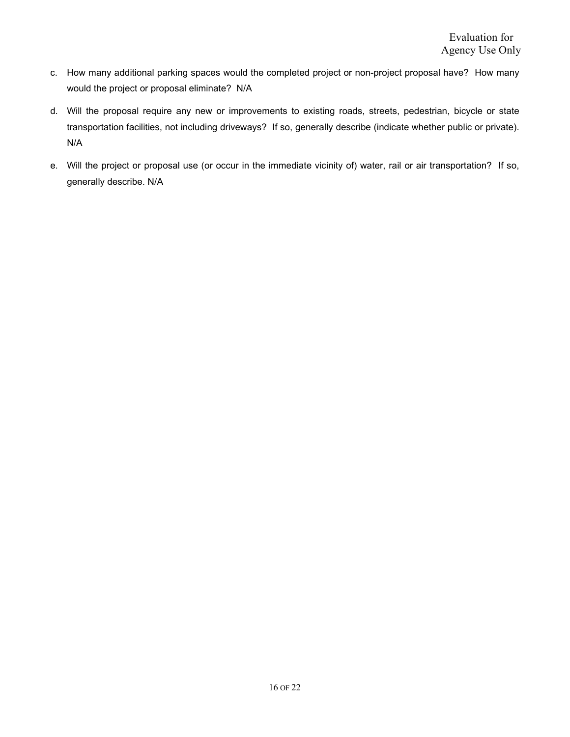- c. How many additional parking spaces would the completed project or non-project proposal have? How many would the project or proposal eliminate? N/A
- d. Will the proposal require any new or improvements to existing roads, streets, pedestrian, bicycle or state transportation facilities, not including driveways? If so, generally describe (indicate whether public or private). N/A
- e. Will the project or proposal use (or occur in the immediate vicinity of) water, rail or air transportation? If so, generally describe. N/A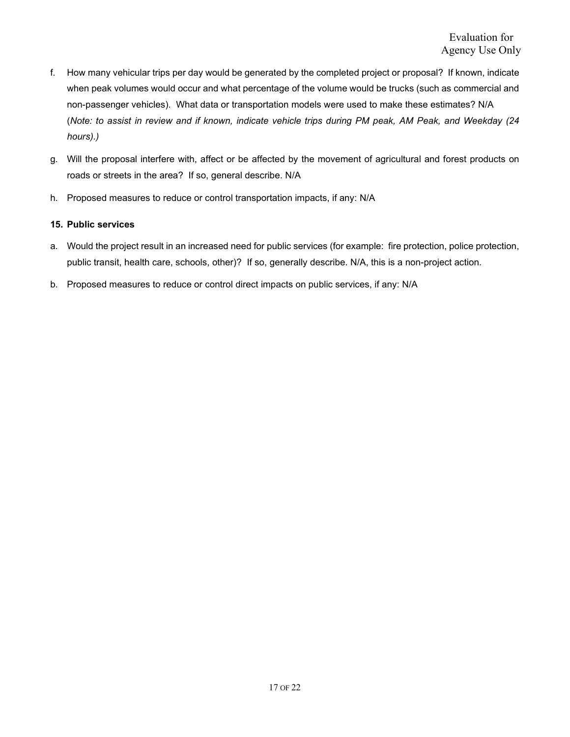- f. How many vehicular trips per day would be generated by the completed project or proposal? If known, indicate when peak volumes would occur and what percentage of the volume would be trucks (such as commercial and non-passenger vehicles). What data or transportation models were used to make these estimates? N/A (*Note: to assist in review and if known, indicate vehicle trips during PM peak, AM Peak, and Weekday (24 hours).)*
- g. Will the proposal interfere with, affect or be affected by the movement of agricultural and forest products on roads or streets in the area? If so, general describe. N/A
- h. Proposed measures to reduce or control transportation impacts, if any: N/A

#### **15. Public services**

- a. Would the project result in an increased need for public services (for example: fire protection, police protection, public transit, health care, schools, other)? If so, generally describe. N/A, this is a non-project action.
- b. Proposed measures to reduce or control direct impacts on public services, if any: N/A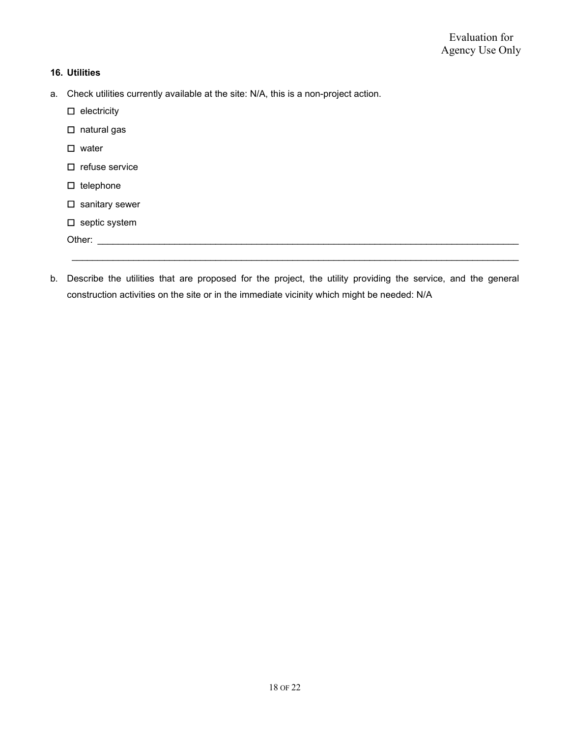## **16. Utilities**

- a. Check utilities currently available at the site: N/A, this is a non-project action.
	- ☐ electricity
	- ☐ natural gas
	- ☐ water
	- ☐ refuse service
	- ☐ telephone
	- □ sanitary sewer
	- ☐ septic system
	- Other: \_\_\_\_\_\_\_\_\_\_\_\_\_\_\_\_\_\_\_\_\_\_\_\_\_\_\_\_\_\_\_\_\_\_\_\_\_\_\_\_\_\_\_\_\_\_\_\_\_\_\_\_\_\_\_\_\_\_\_\_\_\_\_\_\_\_\_\_\_\_\_\_\_\_\_\_\_\_\_\_\_\_
- b. Describe the utilities that are proposed for the project, the utility providing the service, and the general construction activities on the site or in the immediate vicinity which might be needed: N/A

\_\_\_\_\_\_\_\_\_\_\_\_\_\_\_\_\_\_\_\_\_\_\_\_\_\_\_\_\_\_\_\_\_\_\_\_\_\_\_\_\_\_\_\_\_\_\_\_\_\_\_\_\_\_\_\_\_\_\_\_\_\_\_\_\_\_\_\_\_\_\_\_\_\_\_\_\_\_\_\_\_\_\_\_\_\_\_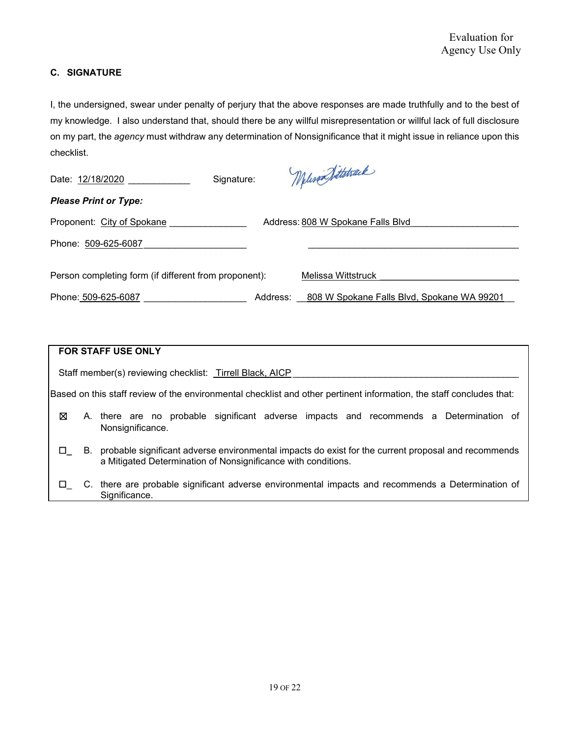## **C. SIGNATURE**

I, the undersigned, swear under penalty of perjury that the above responses are made truthfully and to the best of my knowledge. I also understand that, should there be any willful misrepresentation or willful lack of full disclosure on my part, the *agency* must withdraw any determination of Nonsignificance that it might issue in reliance upon this checklist.

| Signature:<br>Date: 12/18/2020                                  |          | Welisand Sittstrack                        |  |
|-----------------------------------------------------------------|----------|--------------------------------------------|--|
| <b>Please Print or Type:</b>                                    |          |                                            |  |
| Proponent: City of Spokane<br>Address: 808 W Spokane Falls Blvd |          |                                            |  |
| Phone: 509-625-6087                                             |          |                                            |  |
|                                                                 |          |                                            |  |
| Person completing form (if different from proponent):           |          | Melissa Wittstruck                         |  |
| Phone: 509-625-6087                                             | Address: | 808 W Spokane Falls Blvd, Spokane WA 99201 |  |

| <b>FOR STAFF USE ONLY</b>                                                                                            |  |                                                                                                                                                                         |  |  |  |
|----------------------------------------------------------------------------------------------------------------------|--|-------------------------------------------------------------------------------------------------------------------------------------------------------------------------|--|--|--|
| Staff member(s) reviewing checklist: Tirrell Black, AICP                                                             |  |                                                                                                                                                                         |  |  |  |
| Based on this staff review of the environmental checklist and other pertinent information, the staff concludes that: |  |                                                                                                                                                                         |  |  |  |
| ⊠                                                                                                                    |  | A. there are no probable significant adverse impacts and recommends a Determination of<br>Nonsignificance.                                                              |  |  |  |
| $\Box$                                                                                                               |  | B. probable significant adverse environmental impacts do exist for the current proposal and recommends<br>a Mitigated Determination of Nonsignificance with conditions. |  |  |  |
| $\Box$                                                                                                               |  | C. there are probable significant adverse environmental impacts and recommends a Determination of<br>Significance.                                                      |  |  |  |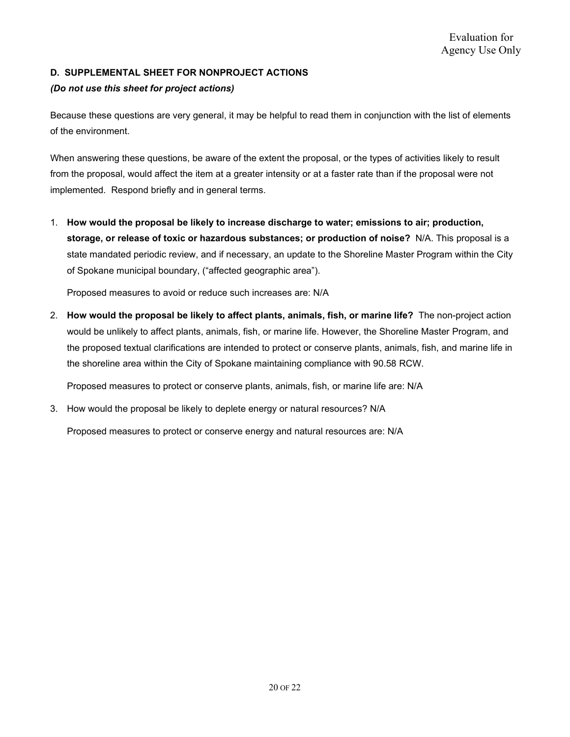## **D. SUPPLEMENTAL SHEET FOR NONPROJECT ACTIONS**

### *(Do not use this sheet for project actions)*

Because these questions are very general, it may be helpful to read them in conjunction with the list of elements of the environment.

When answering these questions, be aware of the extent the proposal, or the types of activities likely to result from the proposal, would affect the item at a greater intensity or at a faster rate than if the proposal were not implemented. Respond briefly and in general terms.

1. **How would the proposal be likely to increase discharge to water; emissions to air; production, storage, or release of toxic or hazardous substances; or production of noise?** N/A. This proposal is a state mandated periodic review, and if necessary, an update to the Shoreline Master Program within the City of Spokane municipal boundary, ("affected geographic area").

Proposed measures to avoid or reduce such increases are: N/A

2. **How would the proposal be likely to affect plants, animals, fish, or marine life?** The non-project action would be unlikely to affect plants, animals, fish, or marine life. However, the Shoreline Master Program, and the proposed textual clarifications are intended to protect or conserve plants, animals, fish, and marine life in the shoreline area within the City of Spokane maintaining compliance with 90.58 RCW.

Proposed measures to protect or conserve plants, animals, fish, or marine life are: N/A

3. How would the proposal be likely to deplete energy or natural resources? N/A

Proposed measures to protect or conserve energy and natural resources are: N/A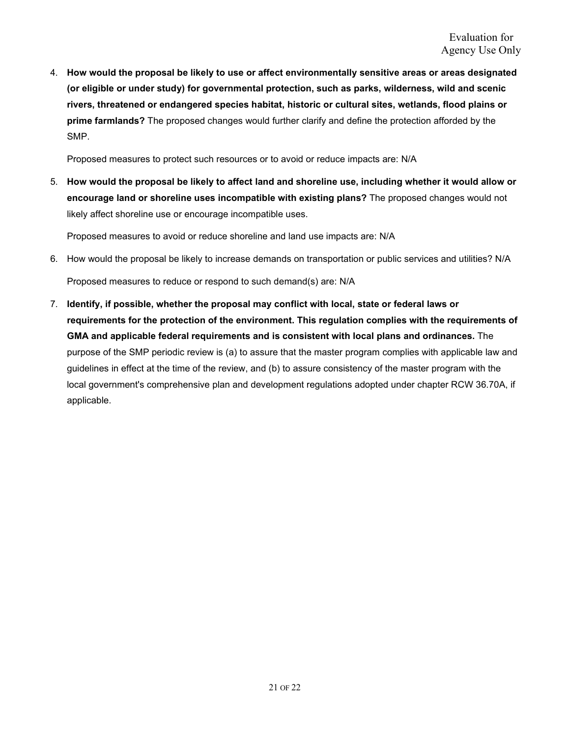4. **How would the proposal be likely to use or affect environmentally sensitive areas or areas designated (or eligible or under study) for governmental protection, such as parks, wilderness, wild and scenic rivers, threatened or endangered species habitat, historic or cultural sites, wetlands, flood plains or prime farmlands?** The proposed changes would further clarify and define the protection afforded by the SMP.

Proposed measures to protect such resources or to avoid or reduce impacts are: N/A

5. **How would the proposal be likely to affect land and shoreline use, including whether it would allow or encourage land or shoreline uses incompatible with existing plans?** The proposed changes would not likely affect shoreline use or encourage incompatible uses.

Proposed measures to avoid or reduce shoreline and land use impacts are: N/A

6. How would the proposal be likely to increase demands on transportation or public services and utilities? N/A

Proposed measures to reduce or respond to such demand(s) are: N/A

7. **Identify, if possible, whether the proposal may conflict with local, state or federal laws or requirements for the protection of the environment. This regulation complies with the requirements of GMA and applicable federal requirements and is consistent with local plans and ordinances.** The purpose of the SMP periodic review is (a) to assure that the master program complies with applicable law and guidelines in effect at the time of the review, and (b) to assure consistency of the master program with the local government's comprehensive plan and development regulations adopted under chapter RCW 36.70A, if applicable.